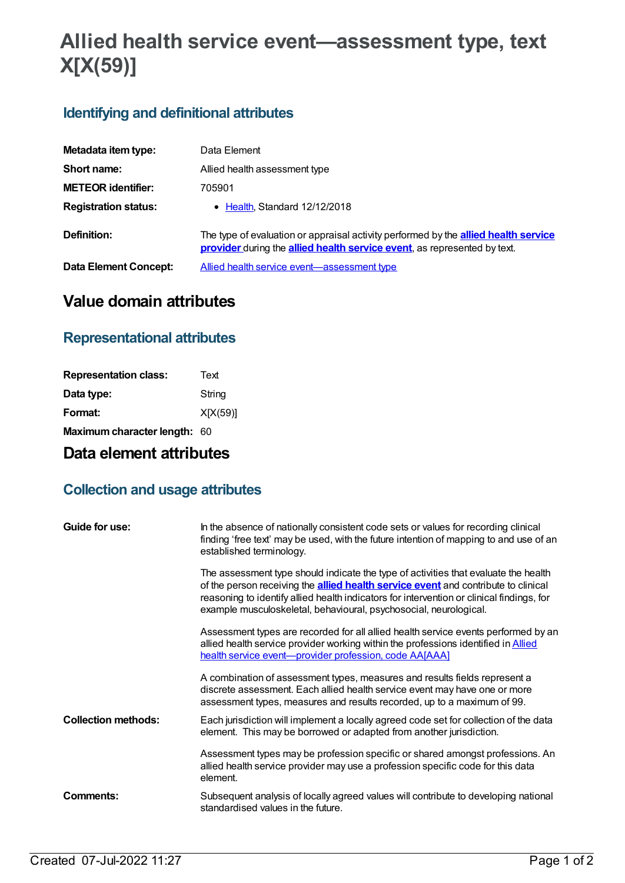# **Allied health service event—assessment type, text X[X(59)]**

### **Identifying and definitional attributes**

| Metadata item type:         | Data Element                                                                                                                                                           |
|-----------------------------|------------------------------------------------------------------------------------------------------------------------------------------------------------------------|
| Short name:                 | Allied health assessment type                                                                                                                                          |
| <b>METEOR identifier:</b>   | 705901                                                                                                                                                                 |
| <b>Registration status:</b> | • Health, Standard 12/12/2018                                                                                                                                          |
| Definition:                 | The type of evaluation or appraisal activity performed by the <b>allied health service</b><br>provider during the allied health service event, as represented by text. |
| Data Element Concept:       | Allied health service event-assessment type                                                                                                                            |

## **Value domain attributes**

#### **Representational attributes**

| Text                                |
|-------------------------------------|
| String                              |
| X[X(59)]                            |
| <b>Maximum character length: 60</b> |
|                                     |

## **Data element attributes**

#### **Collection and usage attributes**

| Guide for use:             | In the absence of nationally consistent code sets or values for recording clinical<br>finding 'free text' may be used, with the future intention of mapping to and use of an<br>established terminology.                                                                                                                                           |
|----------------------------|----------------------------------------------------------------------------------------------------------------------------------------------------------------------------------------------------------------------------------------------------------------------------------------------------------------------------------------------------|
|                            | The assessment type should indicate the type of activities that evaluate the health<br>of the person receiving the <b>allied health service event</b> and contribute to clinical<br>reasoning to identify allied health indicators for intervention or clinical findings, for<br>example musculoskeletal, behavioural, psychosocial, neurological. |
|                            | Assessment types are recorded for all allied health service events performed by an<br>allied health service provider working within the professions identified in <b>Allied</b><br>health service event-provider profession, code AA[AAA]                                                                                                          |
|                            | A combination of assessment types, measures and results fields represent a<br>discrete assessment. Each allied health service event may have one or more<br>assessment types, measures and results recorded, up to a maximum of 99.                                                                                                                |
| <b>Collection methods:</b> | Each jurisdiction will implement a locally agreed code set for collection of the data<br>element. This may be borrowed or adapted from another jurisdiction.                                                                                                                                                                                       |
|                            | Assessment types may be profession specific or shared amongst professions. An<br>allied health service provider may use a profession specific code for this data<br>element.                                                                                                                                                                       |
| Comments:                  | Subsequent analysis of locally agreed values will contribute to developing national<br>standardised values in the future.                                                                                                                                                                                                                          |